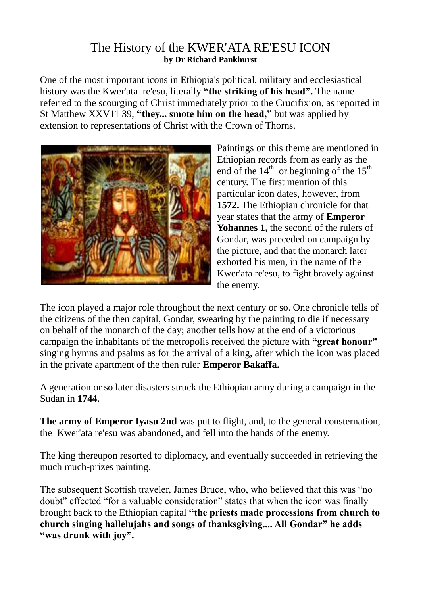## The History of the KWER'ATA RE'ESU ICON **by Dr Richard Pankhurst**

One of the most important icons in Ethiopia's political, military and ecclesiastical history was the Kwer'ata re'esu, literally **"the striking of his head".** The name referred to the scourging of Christ immediately prior to the Crucifixion, as reported in St Matthew XXV11 39, **"they... smote him on the head,"** but was applied by extension to representations of Christ with the Crown of Thorns.



Paintings on this theme are mentioned in Ethiopian records from as early as the end of the  $14<sup>th</sup>$  or beginning of the  $15<sup>th</sup>$ century. The first mention of this particular icon dates, however, from **1572.** The Ethiopian chronicle for that year states that the army of **Emperor Yohannes 1,** the second of the rulers of Gondar, was preceded on campaign by the picture, and that the monarch later exhorted his men, in the name of the Kwer'ata re'esu, to fight bravely against the enemy.

The icon played a major role throughout the next century or so. One chronicle tells of the citizens of the then capital, Gondar, swearing by the painting to die if necessary on behalf of the monarch of the day; another tells how at the end of a victorious campaign the inhabitants of the metropolis received the picture with **"great honour"** singing hymns and psalms as for the arrival of a king, after which the icon was placed in the private apartment of the then ruler **Emperor Bakaffa.**

A generation or so later disasters struck the Ethiopian army during a campaign in the Sudan in **1744.**

**The army of Emperor Iyasu 2nd** was put to flight, and, to the general consternation, the Kwer'ata re'esu was abandoned, and fell into the hands of the enemy.

The king thereupon resorted to diplomacy, and eventually succeeded in retrieving the much much-prizes painting.

The subsequent Scottish traveler, James Bruce, who, who believed that this was "no doubt" effected "for a valuable consideration" states that when the icon was finally brought back to the Ethiopian capital **"the priests made processions from church to church singing hallelujahs and songs of thanksgiving.... All Gondar" he adds "was drunk with joy".**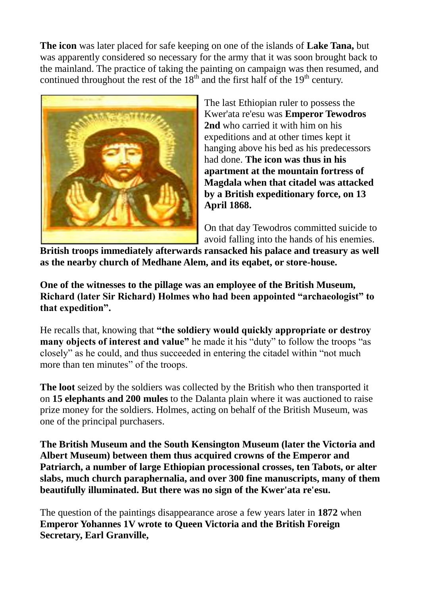**The icon** was later placed for safe keeping on one of the islands of **Lake Tana,** but was apparently considered so necessary for the army that it was soon brought back to the mainland. The practice of taking the painting on campaign was then resumed, and continued throughout the rest of the  $18<sup>th</sup>$  and the first half of the  $19<sup>th</sup>$  century.



The last Ethiopian ruler to possess the Kwer'ata re'esu was **Emperor Tewodros 2nd** who carried it with him on his expeditions and at other times kept it hanging above his bed as his predecessors had done. **The icon was thus in his apartment at the mountain fortress of Magdala when that citadel was attacked by a British expeditionary force, on 13 April 1868.**

On that day Tewodros committed suicide to avoid falling into the hands of his enemies.

**British troops immediately afterwards ransacked his palace and treasury as well as the nearby church of Medhane Alem, and its eqabet, or store-house.**

**One of the witnesses to the pillage was an employee of the British Museum, Richard (later Sir Richard) Holmes who had been appointed "archaeologist" to that expedition".**

He recalls that, knowing that **"the soldiery would quickly appropriate or destroy many objects of interest and value"** he made it his "duty" to follow the troops "as closely" as he could, and thus succeeded in entering the citadel within "not much more than ten minutes" of the troops.

**The loot** seized by the soldiers was collected by the British who then transported it on **15 elephants and 200 mules** to the Dalanta plain where it was auctioned to raise prize money for the soldiers. Holmes, acting on behalf of the British Museum, was one of the principal purchasers.

**The British Museum and the South Kensington Museum (later the Victoria and Albert Museum) between them thus acquired crowns of the Emperor and Patriarch, a number of large Ethiopian processional crosses, ten Tabots, or alter slabs, much church paraphernalia, and over 300 fine manuscripts, many of them beautifully illuminated. But there was no sign of the Kwer'ata re'esu.**

The question of the paintings disappearance arose a few years later in **1872** when **Emperor Yohannes 1V wrote to Queen Victoria and the British Foreign Secretary, Earl Granville,**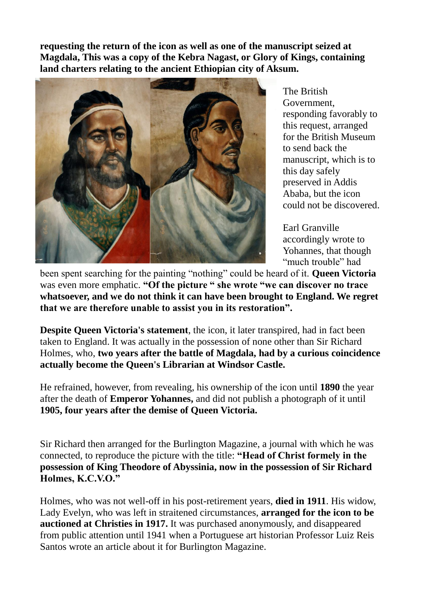**requesting the return of the icon as well as one of the manuscript seized at Magdala, This was a copy of the Kebra Nagast, or Glory of Kings, containing land charters relating to the ancient Ethiopian city of Aksum.**



The British Government, responding favorably to this request, arranged for the British Museum to send back the manuscript, which is to this day safely preserved in Addis Ababa, but the icon could not be discovered.

Earl Granville accordingly wrote to Yohannes, that though "much trouble" had

been spent searching for the painting "nothing" could be heard of it. **Queen Victoria** was even more emphatic. **"Of the picture " she wrote "we can discover no trace whatsoever, and we do not think it can have been brought to England. We regret that we are therefore unable to assist you in its restoration".**

**Despite Queen Victoria's statement**, the icon, it later transpired, had in fact been taken to England. It was actually in the possession of none other than Sir Richard Holmes, who, **two years after the battle of Magdala, had by a curious coincidence actually become the Queen's Librarian at Windsor Castle.** 

He refrained, however, from revealing, his ownership of the icon until **1890** the year after the death of **Emperor Yohannes,** and did not publish a photograph of it until **1905, four years after the demise of Queen Victoria.**

Sir Richard then arranged for the Burlington Magazine, a journal with which he was connected, to reproduce the picture with the title: **"Head of Christ formely in the possession of King Theodore of Abyssinia, now in the possession of Sir Richard Holmes, K.C.V.O."**

Holmes, who was not well-off in his post-retirement years, **died in 1911**. His widow, Lady Evelyn, who was left in straitened circumstances, **arranged for the icon to be auctioned at Christies in 1917.** It was purchased anonymously, and disappeared from public attention until 1941 when a Portuguese art historian Professor Luiz Reis Santos wrote an article about it for Burlington Magazine.